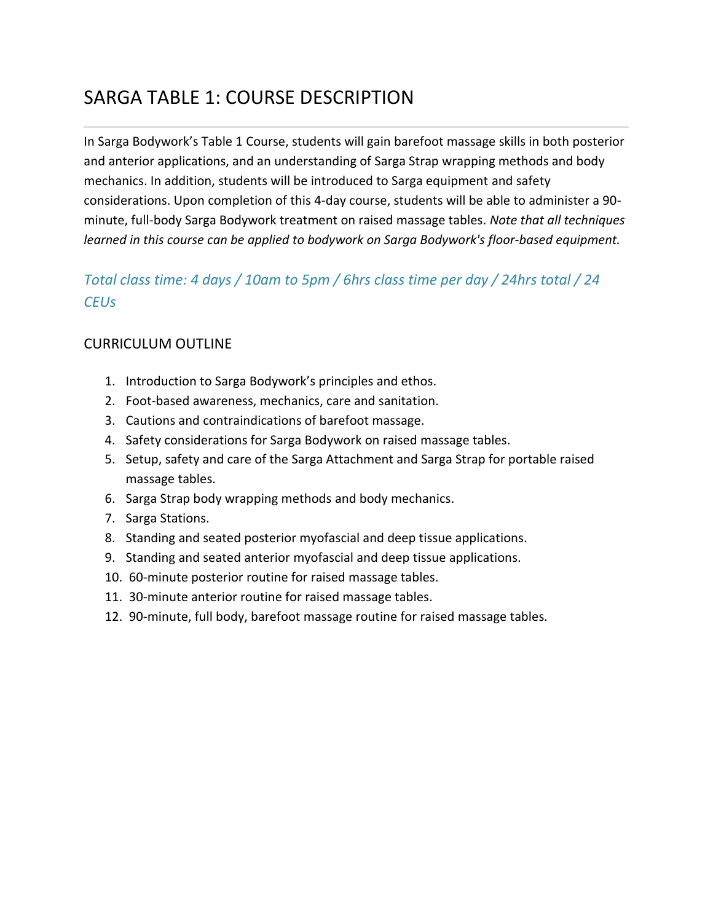## SARGA TABLE 1: COURSE DESCRIPTION

In Sarga Bodywork's Table 1 Course, students will gain barefoot massage skills in both posterior and anterior applications, and an understanding of Sarga Strap wrapping methods and body mechanics. In addition, students will be introduced to Sarga equipment and safety considerations. Upon completion of this 4-day course, students will be able to administer a 90 minute, full-body Sarga Bodywork treatment on raised massage tables. *Note that all techniques learned in this course can be applied to bodywork on Sarga Bodywork's floor-based equipment.*

## *Total class time: 4 days / 10am to 5pm / 6hrs class time per day / 24hrs total / 24 CEUs*

### CURRICULUM OUTLINE

- 1. Introduction to Sarga Bodywork's principles and ethos.
- 2. Foot-based awareness, mechanics, care and sanitation.
- 3. Cautions and contraindications of barefoot massage.
- 4. Safety considerations for Sarga Bodywork on raised massage tables.
- 5. Setup, safety and care of the Sarga Attachment and Sarga Strap for portable raised massage tables.
- 6. Sarga Strap body wrapping methods and body mechanics.
- 7. Sarga Stations.
- 8. Standing and seated posterior myofascial and deep tissue applications.
- 9. Standing and seated anterior myofascial and deep tissue applications.
- 10. 60-minute posterior routine for raised massage tables.
- 11. 30-minute anterior routine for raised massage tables.
- 12. 90-minute, full body, barefoot massage routine for raised massage tables.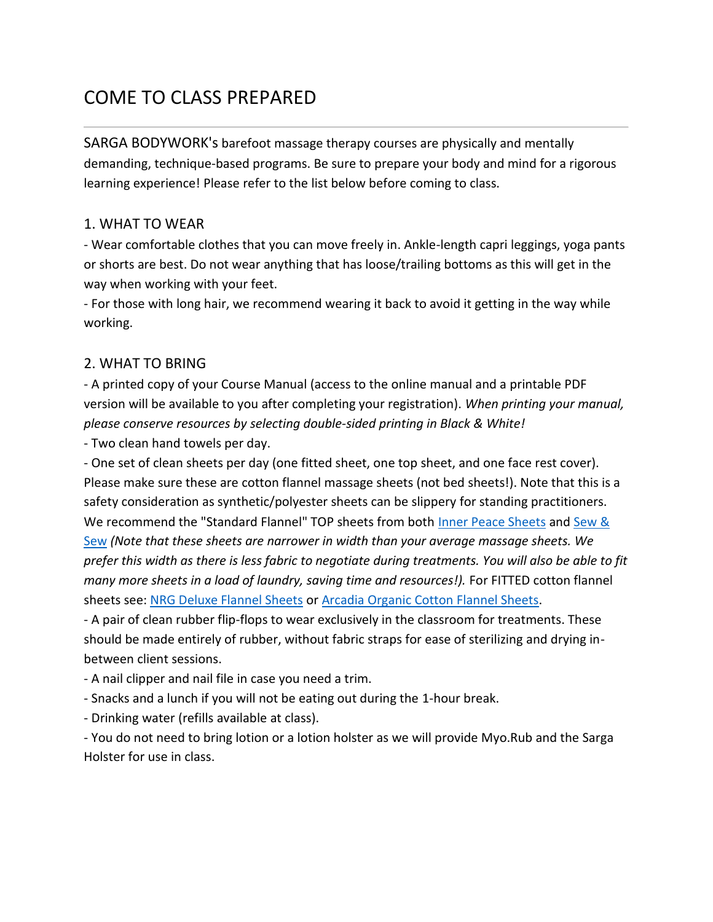# COME TO CLASS PREPARED

SARGA BODYWORK's barefoot massage therapy courses are physically and mentally demanding, technique-based programs. Be sure to prepare your body and mind for a rigorous learning experience! Please refer to the list below before coming to class.

### 1. WHAT TO WEAR

- Wear comfortable clothes that you can move freely in. Ankle-length capri leggings, yoga pants or shorts are best. Do not wear anything that has loose/trailing bottoms as this will get in the way when working with your feet.

- For those with long hair, we recommend wearing it back to avoid it getting in the way while working.

### 2. WHAT TO BRING

- A printed copy of your Course Manual (access to the online manual and a printable PDF version will be available to you after completing your registration). *When printing your manual, please conserve resources by selecting double-sided printing in Black & White!*

- Two clean hand towels per day.

- One set of clean sheets per day (one fitted sheet, one top sheet, and one face rest cover). Please make sure these are cotton flannel massage sheets (not bed sheets!). Note that this is a safety consideration as synthetic/polyester sheets can be slippery for standing practitioners. We recommend the "Standard Flannel" TOP sheets from both [Inner Peace Sheets](http://www.innerpeacesheets.com/) and [Sew &](http://sewandsewonline.com/)  [Sew](http://sewandsewonline.com/) *(Note that these sheets are narrower in width than your average massage sheets. We prefer this width as there is less fabric to negotiate during treatments. You will also be able to fit many more sheets in a load of laundry, saving time and resources!).* For FITTED cotton flannel sheets see: [NRG Deluxe Flannel Sheets](https://www.amazon.com/NRG-DELUXE-FLANNEL-FITTED-NATURAL/dp/B072K6X76H/ref=sr_1_2_sspa?ie=UTF8&qid=1535550170&sr=8-2-spons&keywords=fitted+flannel+massage+sheet&psc=1) or [Arcadia Organic Cotton Flannel Sheets.](https://www.amazon.com/ArcadiaTM100-Organic-Cotton-Flannel-Massage/dp/B06Y64LB7N/ref=sr_1_1_sspa?ie=UTF8&qid=1535550170&sr=8-1-spons&keywords=fitted+flannel+massage+sheet&psc=1)

- A pair of clean rubber flip-flops to wear exclusively in the classroom for treatments. These should be made entirely of rubber, without fabric straps for ease of sterilizing and drying inbetween client sessions.

- A nail clipper and nail file in case you need a trim.

- Snacks and a lunch if you will not be eating out during the 1-hour break.

- Drinking water (refills available at class).

- You do not need to bring lotion or a lotion holster as we will provide Myo.Rub and the Sarga Holster for use in class.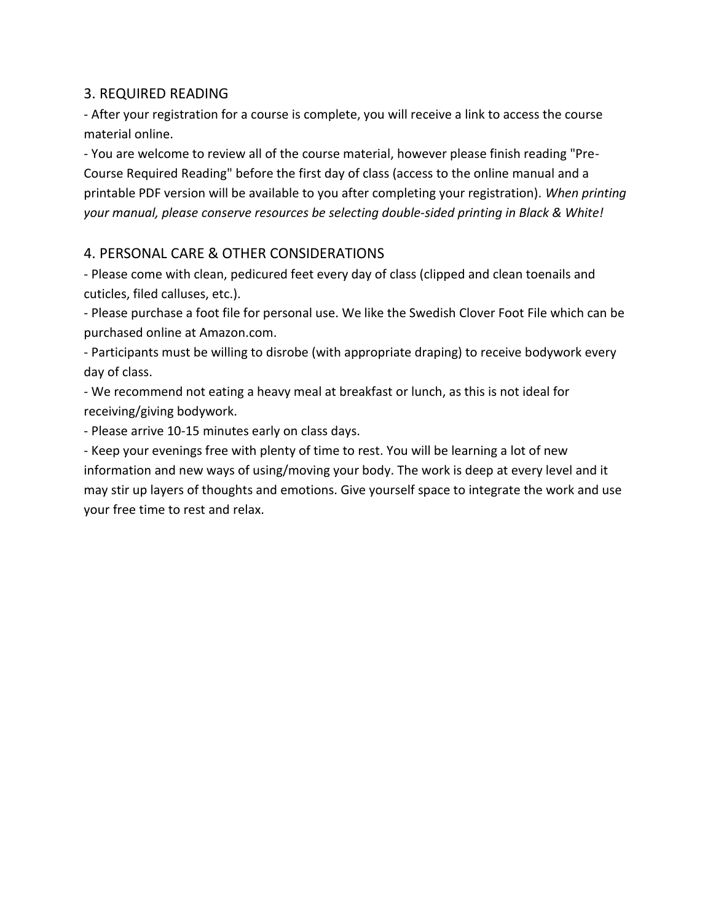### 3. REQUIRED READING

- After your registration for a course is complete, you will receive a link to access the course material online.

- You are welcome to review all of the course material, however please finish reading "Pre-Course Required Reading" before the first day of class (access to the online manual and a printable PDF version will be available to you after completing your registration). *When printing your manual, please conserve resources be selecting double-sided printing in Black & White!*

### 4. PERSONAL CARE & OTHER CONSIDERATIONS

- Please come with clean, pedicured feet every day of class (clipped and clean toenails and cuticles, filed calluses, etc.).

- Please purchase a foot file for personal use. We like the Swedish Clover Foot File which can be purchased online at Amazon.com.

- Participants must be willing to disrobe (with appropriate draping) to receive bodywork every day of class.

- We recommend not eating a heavy meal at breakfast or lunch, as this is not ideal for receiving/giving bodywork.

- Please arrive 10-15 minutes early on class days.

- Keep your evenings free with plenty of time to rest. You will be learning a lot of new information and new ways of using/moving your body. The work is deep at every level and it may stir up layers of thoughts and emotions. Give yourself space to integrate the work and use your free time to rest and relax.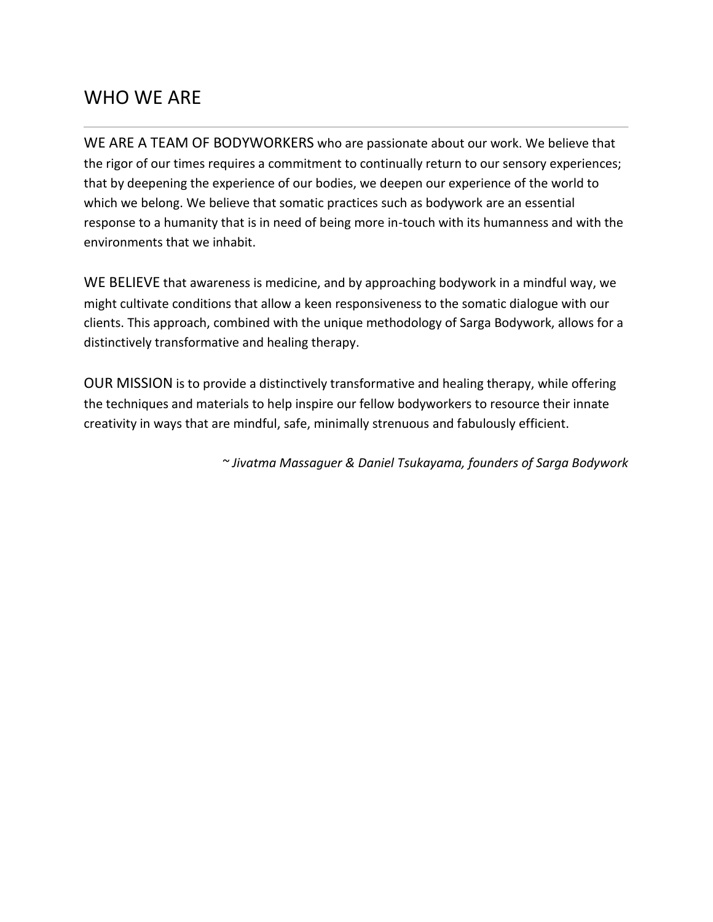## WHO WE ARE

WE ARE A TEAM OF BODYWORKERS who are passionate about our work. We believe that the rigor of our times requires a commitment to continually return to our sensory experiences; that by deepening the experience of our bodies, we deepen our experience of the world to which we belong. We believe that somatic practices such as bodywork are an essential response to a humanity that is in need of being more in-touch with its humanness and with the environments that we inhabit.

WE BELIEVE that awareness is medicine, and by approaching bodywork in a mindful way, we might cultivate conditions that allow a keen responsiveness to the somatic dialogue with our clients. This approach, combined with the unique methodology of Sarga Bodywork, allows for a distinctively transformative and healing therapy.

OUR MISSION is to provide a distinctively transformative and healing therapy, while offering the techniques and materials to help inspire our fellow bodyworkers to resource their innate creativity in ways that are mindful, safe, minimally strenuous and fabulously efficient.

*~ Jivatma Massaguer & Daniel Tsukayama, founders of Sarga Bodywork*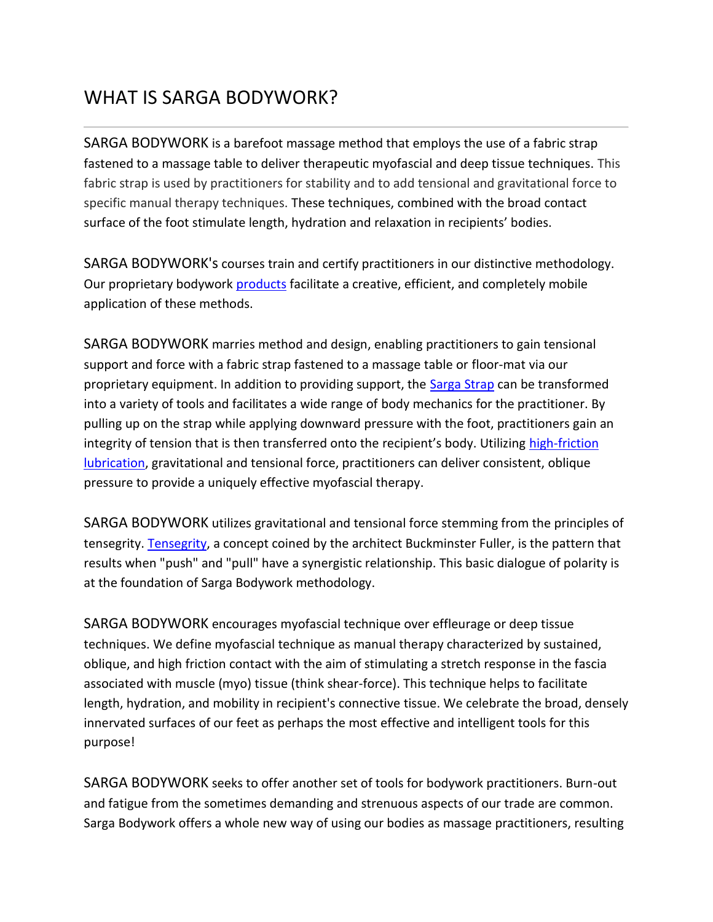# WHAT IS SARGA BODYWORK?

SARGA BODYWORK is a barefoot massage method that employs the use of a fabric strap fastened to a massage table to deliver therapeutic myofascial and deep tissue techniques. This fabric strap is used by practitioners for stability and to add tensional and gravitational force to specific manual therapy techniques. These techniques, combined with the broad contact surface of the foot stimulate length, hydration and relaxation in recipients' bodies.

SARGA BODYWORK's courses train and certify practitioners in our distinctive methodology. Our proprietary bodywork [products](http://www.sargabodywork.com/products.html) facilitate a creative, efficient, and completely mobile application of these methods.

SARGA BODYWORK marries method and design, enabling practitioners to gain tensional support and force with a fabric strap fastened to a massage table or floor-mat via our proprietary equipment. In addition to providing support, the [Sarga Strap](http://www.sargabodywork.com/store/p3/The_Sarga_Strap%2A.html) can be transformed into a variety of tools and facilitates a wide range of body mechanics for the practitioner. By pulling up on the strap while applying downward pressure with the foot, practitioners gain an integrity of tension that is then transferred onto the recipient's body. Utilizing [high-friction](http://www.sargabodywork.com/store/p2/MYO.RUB_-_8_Ounce_Bottle.html)  [lubrication,](http://www.sargabodywork.com/store/p2/MYO.RUB_-_8_Ounce_Bottle.html) gravitational and tensional force, practitioners can deliver consistent, oblique pressure to provide a uniquely effective myofascial therapy.

SARGA BODYWORK utilizes gravitational and tensional force stemming from the principles of tensegrity. [Tensegrity,](https://en.wikipedia.org/wiki/Tensegrity) a concept coined by the architect Buckminster Fuller, is the pattern that results when "push" and "pull" have a synergistic relationship. This basic dialogue of polarity is at the foundation of Sarga Bodywork methodology.

SARGA BODYWORK encourages myofascial technique over effleurage or deep tissue techniques. We define myofascial technique as manual therapy characterized by sustained, oblique, and high friction contact with the aim of stimulating a stretch response in the fascia associated with muscle (myo) tissue (think shear-force). This technique helps to facilitate length, hydration, and mobility in recipient's connective tissue. We celebrate the broad, densely innervated surfaces of our feet as perhaps the most effective and intelligent tools for this purpose!

SARGA BODYWORK seeks to offer another set of tools for bodywork practitioners. Burn-out and fatigue from the sometimes demanding and strenuous aspects of our trade are common. Sarga Bodywork offers a whole new way of using our bodies as massage practitioners, resulting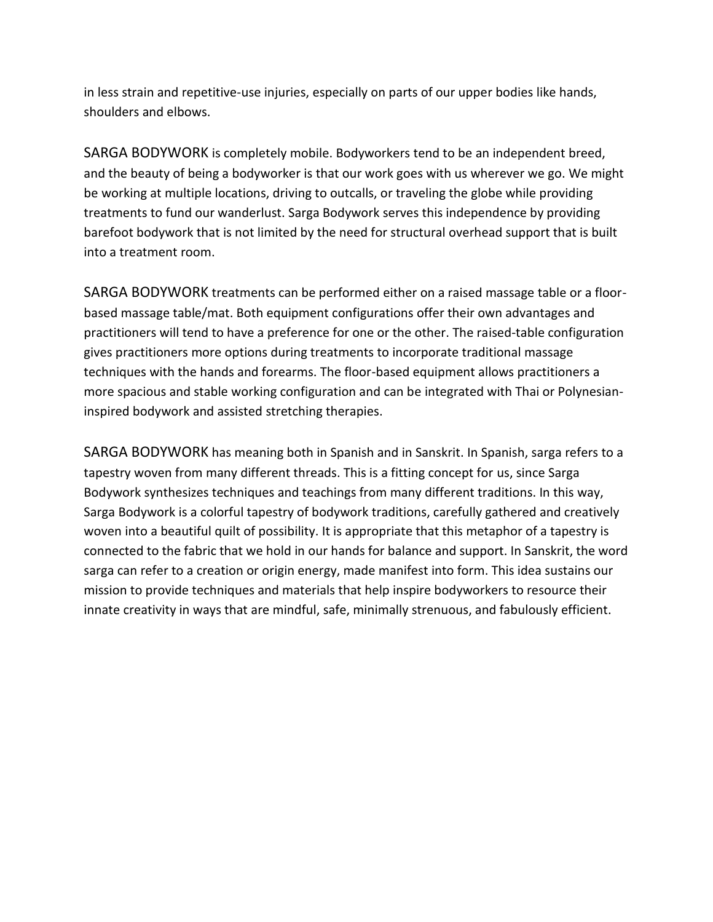in less strain and repetitive-use injuries, especially on parts of our upper bodies like hands, shoulders and elbows.

SARGA BODYWORK is completely mobile. Bodyworkers tend to be an independent breed, and the beauty of being a bodyworker is that our work goes with us wherever we go. We might be working at multiple locations, driving to outcalls, or traveling the globe while providing treatments to fund our wanderlust. Sarga Bodywork serves this independence by providing barefoot bodywork that is not limited by the need for structural overhead support that is built into a treatment room.

SARGA BODYWORK treatments can be performed either on a raised massage table or a floorbased massage table/mat. Both equipment configurations offer their own advantages and practitioners will tend to have a preference for one or the other. The raised-table configuration gives practitioners more options during treatments to incorporate traditional massage techniques with the hands and forearms. The floor-based equipment allows practitioners a more spacious and stable working configuration and can be integrated with Thai or Polynesianinspired bodywork and assisted stretching therapies.

SARGA BODYWORK has meaning both in Spanish and in Sanskrit. In Spanish, sarga refers to a tapestry woven from many different threads. This is a fitting concept for us, since Sarga Bodywork synthesizes techniques and teachings from many different traditions. In this way, Sarga Bodywork is a colorful tapestry of bodywork traditions, carefully gathered and creatively woven into a beautiful quilt of possibility. It is appropriate that this metaphor of a tapestry is connected to the fabric that we hold in our hands for balance and support. In Sanskrit, the word sarga can refer to a creation or origin energy, made manifest into form. This idea sustains our mission to provide techniques and materials that help inspire bodyworkers to resource their innate creativity in ways that are mindful, safe, minimally strenuous, and fabulously efficient.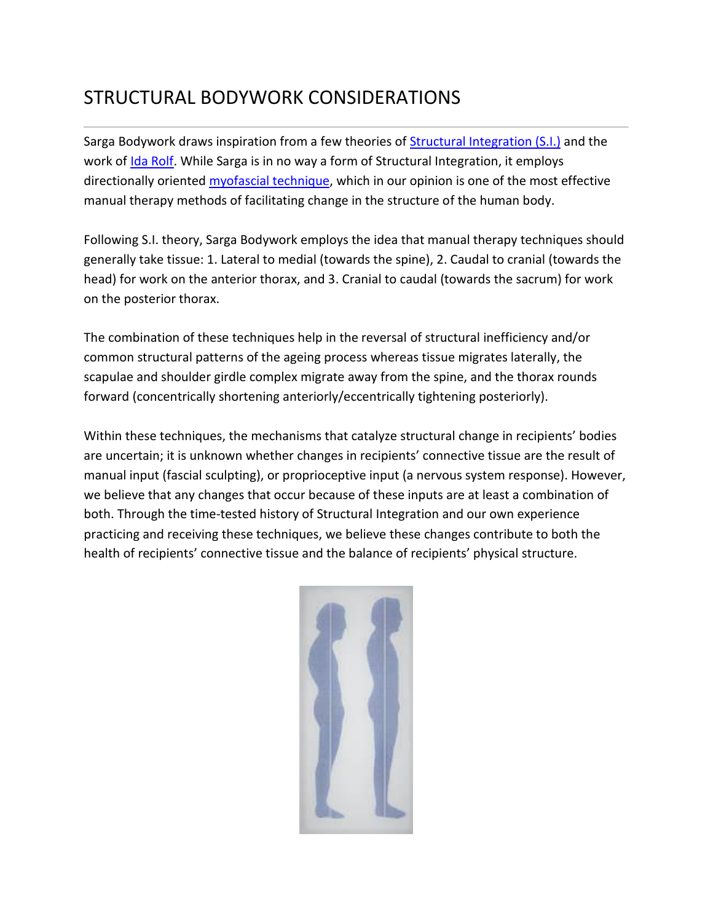## STRUCTURAL BODYWORK CONSIDERATIONS

Sarga Bodywork draws inspiration from a few theories of [Structural Integration \(S.I.\)](https://en.wikipedia.org/wiki/Rolfing) and the work of [Ida Rolf.](https://en.wikipedia.org/wiki/Ida_Rolf) While Sarga is in no way a form of Structural Integration, it employs directionally oriented [myofascial technique,](https://en.wikipedia.org/wiki/Myofascial_release) which in our opinion is one of the most effective manual therapy methods of facilitating change in the structure of the human body.

Following S.I. theory, Sarga Bodywork employs the idea that manual therapy techniques should generally take tissue: 1. Lateral to medial (towards the spine), 2. Caudal to cranial (towards the head) for work on the anterior thorax, and 3. Cranial to caudal (towards the sacrum) for work on the posterior thorax.

The combination of these techniques help in the reversal of structural inefficiency and/or common structural patterns of the ageing process whereas tissue migrates laterally, the scapulae and shoulder girdle complex migrate away from the spine, and the thorax rounds forward (concentrically shortening anteriorly/eccentrically tightening posteriorly).

Within these techniques, the mechanisms that catalyze structural change in recipients' bodies are uncertain; it is unknown whether changes in recipients' connective tissue are the result of manual input (fascial sculpting), or proprioceptive input (a nervous system response). However, we believe that any changes that occur because of these inputs are at least a combination of both. Through the time-tested history of Structural Integration and our own experience practicing and receiving these techniques, we believe these changes contribute to both the health of recipients' connective tissue and the balance of recipients' physical structure.

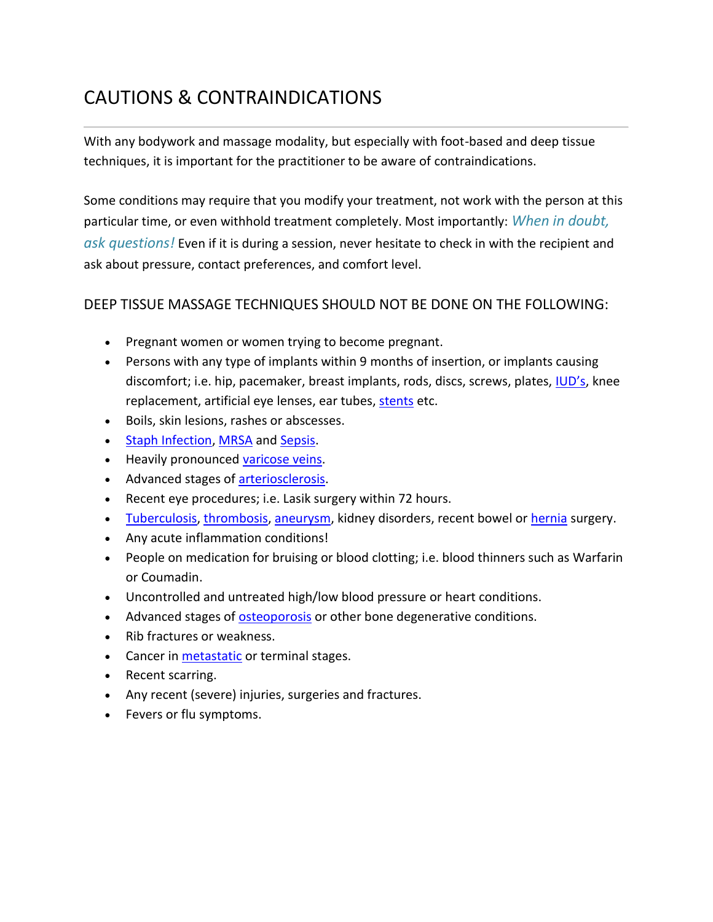# CAUTIONS & CONTRAINDICATIONS

With any bodywork and massage modality, but especially with foot-based and deep tissue techniques, it is important for the practitioner to be aware of contraindications.

Some conditions may require that you modify your treatment, not work with the person at this particular time, or even withhold treatment completely. Most importantly: *When in doubt, ask questions!* Even if it is during a session, never hesitate to check in with the recipient and ask about pressure, contact preferences, and comfort level.

### DEEP TISSUE MASSAGE TECHNIQUES SHOULD NOT BE DONE ON THE FOLLOWING:

- Pregnant women or women trying to become pregnant.
- Persons with any type of implants within 9 months of insertion, or implants causing discomfort; i.e. hip, pacemaker, breast implants, rods, discs, screws, plates, [IUD's](https://en.wikipedia.org/wiki/Intrauterine_device), knee replacement, artificial eye lenses, ear tubes, [stents](https://en.wikipedia.org/wiki/Stent) etc.
- Boils, skin lesions, rashes or abscesses.
- [Staph Infection,](https://www.mayoclinic.org/diseases-conditions/staph-infections/symptoms-causes/syc-20356221) [MRSA](https://en.wikipedia.org/wiki/Methicillin-resistant_Staphylococcus_aureus) and [Sepsis.](https://en.wikipedia.org/wiki/Sepsis)
- Heavily pronounced [varicose veins.](https://en.wikipedia.org/wiki/Varicose_veins)
- Advanced stages of **arteriosclerosis**.
- Recent eye procedures; i.e. Lasik surgery within 72 hours.
- [Tuberculosis,](https://en.wikipedia.org/wiki/Tuberculosis) [thrombosis,](https://en.wikipedia.org/wiki/Thrombosis) [aneurysm,](https://en.wikipedia.org/wiki/Aneurysm) kidney disorders, recent bowel or [hernia](https://en.wikipedia.org/wiki/Hernia) surgery.
- Any acute inflammation conditions!
- People on medication for bruising or blood clotting; i.e. blood thinners such as Warfarin or Coumadin.
- Uncontrolled and untreated high/low blood pressure or heart conditions.
- Advanced stages of [osteoporosis](https://en.wikipedia.org/wiki/Osteoporosis) or other bone degenerative conditions.
- Rib fractures or weakness.
- Cancer in **[metastatic](https://en.wikipedia.org/wiki/Metastasis)** or terminal stages.
- Recent scarring.
- Any recent (severe) injuries, surgeries and fractures.
- Fevers or flu symptoms.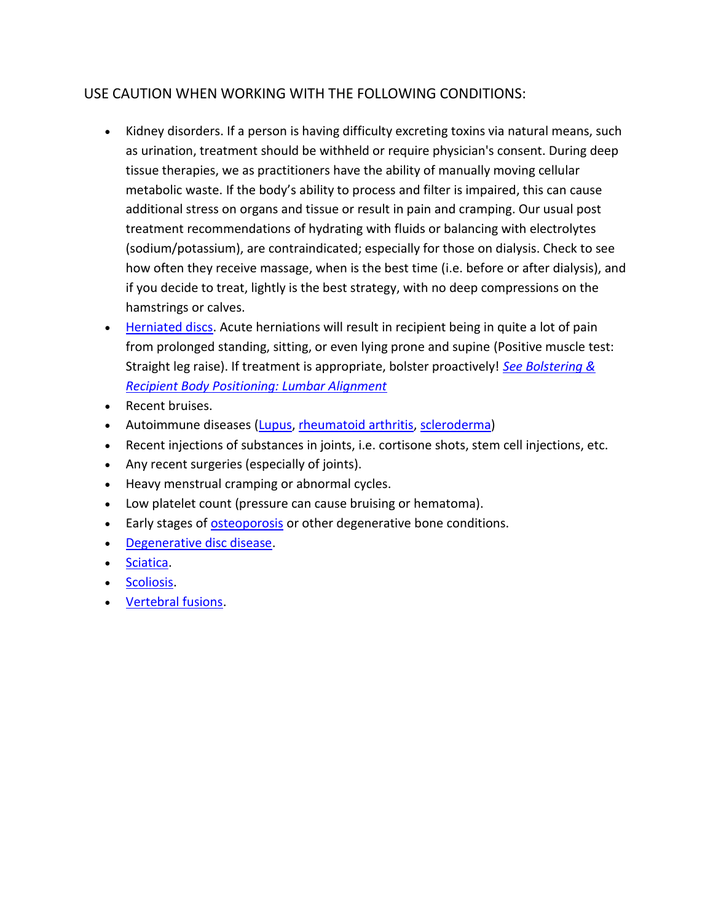### USE CAUTION WHEN WORKING WITH THE FOLLOWING CONDITIONS:

- Kidney disorders. If a person is having difficulty excreting toxins via natural means, such as urination, treatment should be withheld or require physician's consent. During deep tissue therapies, we as practitioners have the ability of manually moving cellular metabolic waste. If the body's ability to process and filter is impaired, this can cause additional stress on organs and tissue or result in pain and cramping. Our usual post treatment recommendations of hydrating with fluids or balancing with electrolytes (sodium/potassium), are contraindicated; especially for those on dialysis. Check to see how often they receive massage, when is the best time (i.e. before or after dialysis), and if you decide to treat, lightly is the best strategy, with no deep compressions on the hamstrings or calves.
- [Herniated discs.](https://en.wikipedia.org/wiki/Spinal_disc_herniation) Acute herniations will result in recipient being in quite a lot of pain from prolonged standing, sitting, or even lying prone and supine (Positive muscle test: Straight leg raise). If treatment is appropriate, bolster proactively! *[See Bolstering &](http://www.sargabodywork.com/bolstering--recipient-body-positioning.html)  [Recipient Body Positioning: Lumbar Alignment](http://www.sargabodywork.com/bolstering--recipient-body-positioning.html)*
- Recent bruises.
- Autoimmune diseases [\(Lupus,](https://en.wikipedia.org/wiki/Systemic_lupus_erythematosus) [rheumatoid arthritis,](https://en.wikipedia.org/wiki/Rheumatoid_arthritis) [scleroderma\)](https://en.wikipedia.org/wiki/Scleroderma)
- Recent injections of substances in joints, i.e. cortisone shots, stem cell injections, etc.
- Any recent surgeries (especially of joints).
- Heavy menstrual cramping or abnormal cycles.
- Low platelet count (pressure can cause bruising or hematoma).
- Early stages of [osteoporosis](https://en.wikipedia.org/wiki/Osteoporosis) or other degenerative bone conditions.
- [Degenerative disc disease.](https://en.wikipedia.org/wiki/Degenerative_disc_disease)
- [Sciatica.](https://en.wikipedia.org/wiki/Sciatica)
- [Scoliosis.](https://en.wikipedia.org/wiki/Scoliosis)
- [Vertebral fusions.](https://en.wikipedia.org/wiki/Spinal_fusion)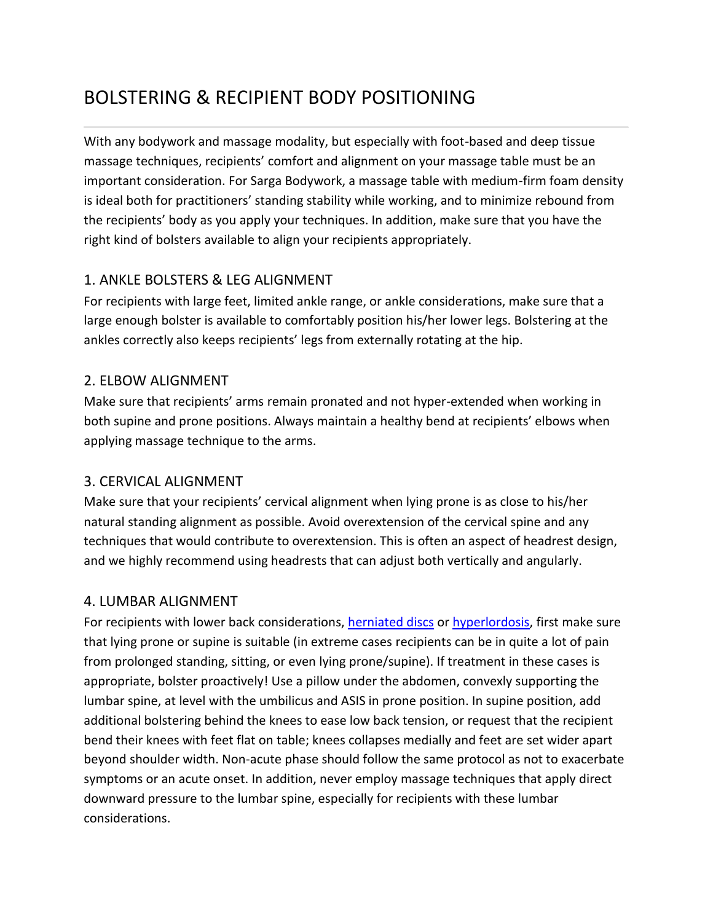# BOLSTERING & RECIPIENT BODY POSITIONING

With any bodywork and massage modality, but especially with foot-based and deep tissue massage techniques, recipients' comfort and alignment on your massage table must be an important consideration. For Sarga Bodywork, a massage table with medium-firm foam density is ideal both for practitioners' standing stability while working, and to minimize rebound from the recipients' body as you apply your techniques. In addition, make sure that you have the right kind of bolsters available to align your recipients appropriately.

### 1. ANKLE BOLSTERS & LEG ALIGNMENT

For recipients with large feet, limited ankle range, or ankle considerations, make sure that a large enough bolster is available to comfortably position his/her lower legs. Bolstering at the ankles correctly also keeps recipients' legs from externally rotating at the hip.

### 2. ELBOW ALIGNMENT

Make sure that recipients' arms remain pronated and not hyper-extended when working in both supine and prone positions. Always maintain a healthy bend at recipients' elbows when applying massage technique to the arms.

### 3. CERVICAL ALIGNMENT

Make sure that your recipients' cervical alignment when lying prone is as close to his/her natural standing alignment as possible. Avoid overextension of the cervical spine and any techniques that would contribute to overextension. This is often an aspect of headrest design, and we highly recommend using headrests that can adjust both vertically and angularly.

### 4. LUMBAR ALIGNMENT

For recipients with lower back considerations, [herniated discs](https://en.wikipedia.org/wiki/Spinal_disc_herniation) or [hyperlordosis,](https://en.wikipedia.org/wiki/Lordosis) first make sure that lying prone or supine is suitable (in extreme cases recipients can be in quite a lot of pain from prolonged standing, sitting, or even lying prone/supine). If treatment in these cases is appropriate, bolster proactively! Use a pillow under the abdomen, convexly supporting the lumbar spine, at level with the umbilicus and ASIS in prone position. In supine position, add additional bolstering behind the knees to ease low back tension, or request that the recipient bend their knees with feet flat on table; knees collapses medially and feet are set wider apart beyond shoulder width. Non-acute phase should follow the same protocol as not to exacerbate symptoms or an acute onset. In addition, never employ massage techniques that apply direct downward pressure to the lumbar spine, especially for recipients with these lumbar considerations.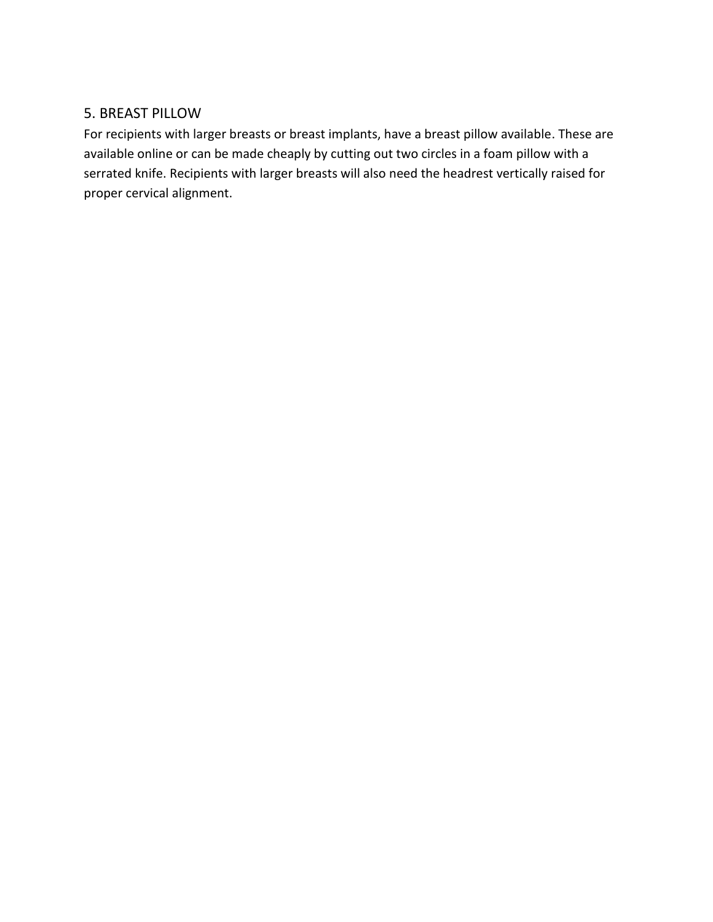### 5. BREAST PILLOW

For recipients with larger breasts or breast implants, have a breast pillow available. These are available online or can be made cheaply by cutting out two circles in a foam pillow with a serrated knife. Recipients with larger breasts will also need the headrest vertically raised for proper cervical alignment.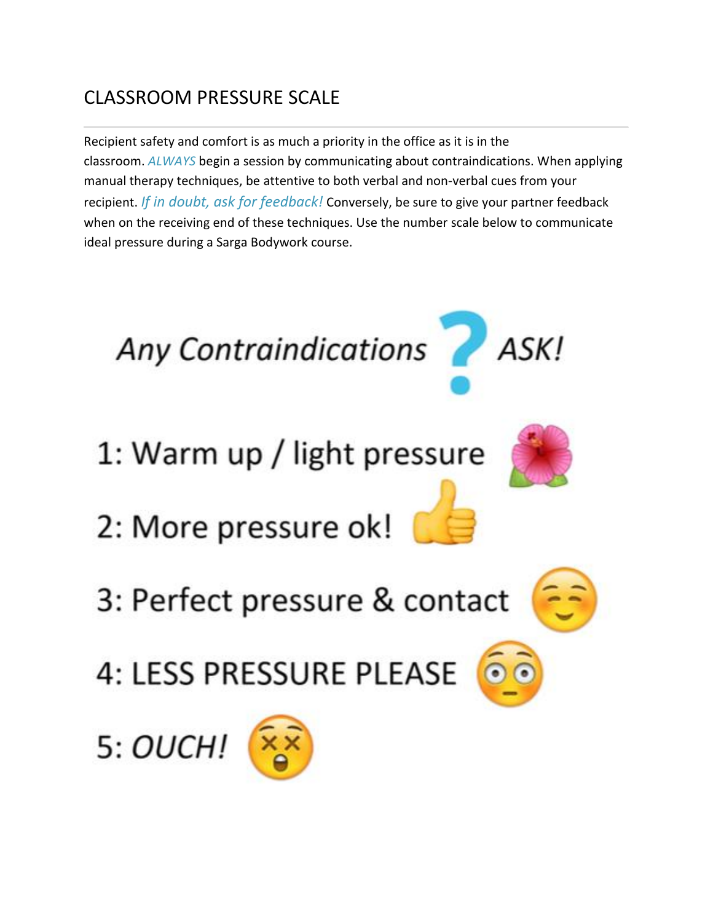# CLASSROOM PRESSURE SCALE

Recipient safety and comfort is as much a priority in the office as it is in the classroom. *ALWAYS* begin a session by communicating about contraindications. When applying manual therapy techniques, be attentive to both verbal and non-verbal cues from your recipient. *If in doubt, ask for feedback!* Conversely, be sure to give your partner feedback when on the receiving end of these techniques. Use the number scale below to communicate ideal pressure during a Sarga Bodywork course.

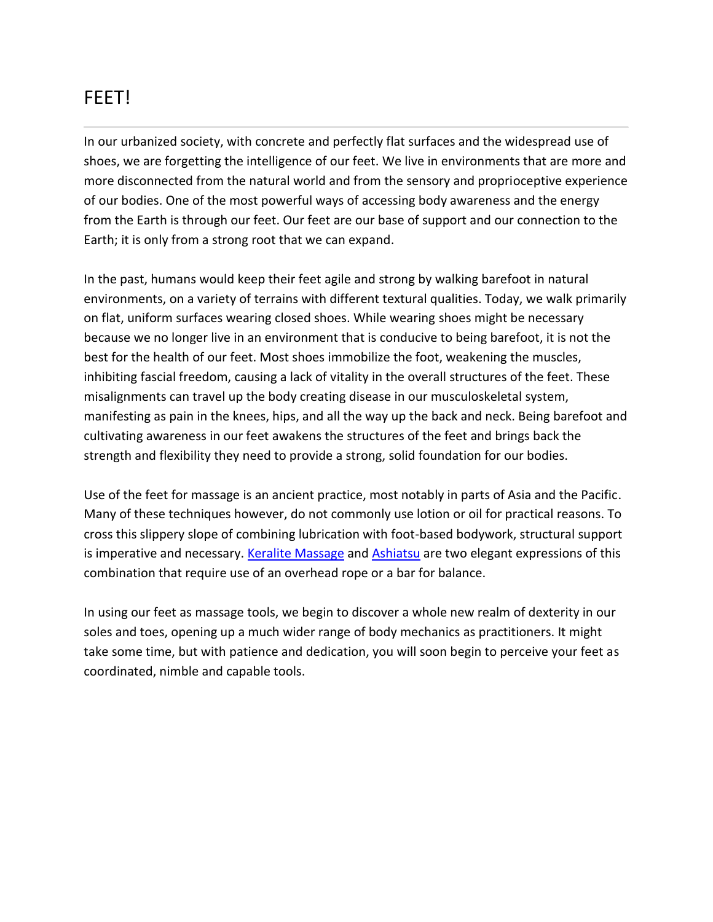## FEET!

In our urbanized society, with concrete and perfectly flat surfaces and the widespread use of shoes, we are forgetting the intelligence of our feet. We live in environments that are more and more disconnected from the natural world and from the sensory and proprioceptive experience of our bodies. One of the most powerful ways of accessing body awareness and the energy from the Earth is through our feet. Our feet are our base of support and our connection to the Earth; it is only from a strong root that we can expand.

In the past, humans would keep their feet agile and strong by walking barefoot in natural environments, on a variety of terrains with different textural qualities. Today, we walk primarily on flat, uniform surfaces wearing closed shoes. While wearing shoes might be necessary because we no longer live in an environment that is conducive to being barefoot, it is not the best for the health of our feet. Most shoes immobilize the foot, weakening the muscles, inhibiting fascial freedom, causing a lack of vitality in the overall structures of the feet. These misalignments can travel up the body creating disease in our musculoskeletal system, manifesting as pain in the knees, hips, and all the way up the back and neck. Being barefoot and cultivating awareness in our feet awakens the structures of the feet and brings back the strength and flexibility they need to provide a strong, solid foundation for our bodies.

Use of the feet for massage is an ancient practice, most notably in parts of Asia and the Pacific. Many of these techniques however, do not commonly use lotion or oil for practical reasons. To cross this slippery slope of combining lubrication with foot-based bodywork, structural support is imperative and necessary. [Keralite Massage](https://en.wikipedia.org/wiki/Chavutti_Thirumal) and [Ashiatsu](http://www.deepfeet.com/) are two elegant expressions of this combination that require use of an overhead rope or a bar for balance.

In using our feet as massage tools, we begin to discover a whole new realm of dexterity in our soles and toes, opening up a much wider range of body mechanics as practitioners. It might take some time, but with patience and dedication, you will soon begin to perceive your feet as coordinated, nimble and capable tools.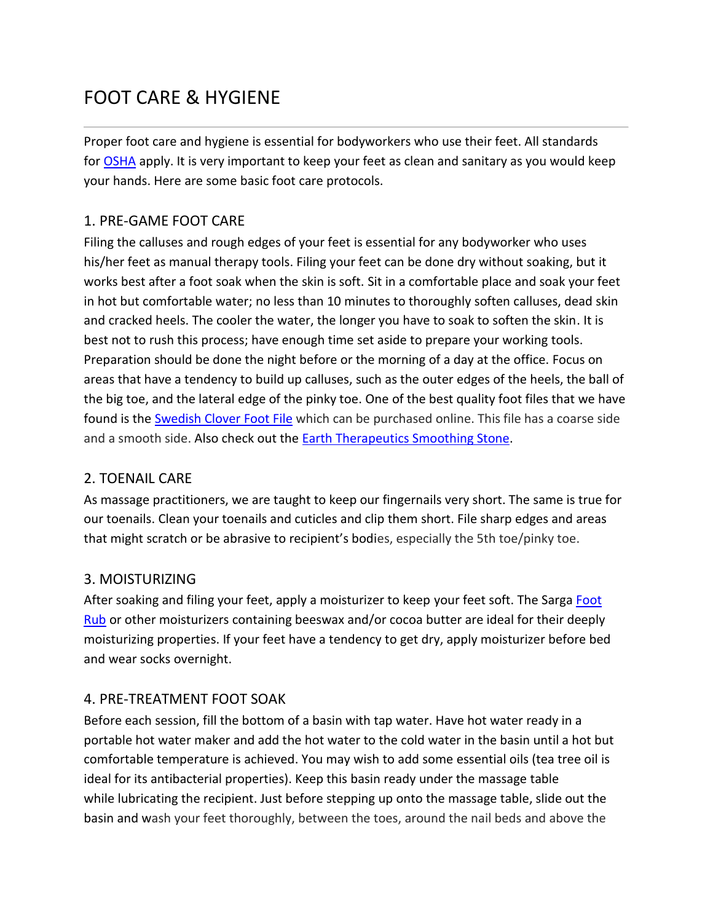# FOOT CARE & HYGIENE

Proper foot care and hygiene is essential for bodyworkers who use their feet. All standards for [OSHA](https://www.osha.gov/) apply. It is very important to keep your feet as clean and sanitary as you would keep your hands. Here are some basic foot care protocols.

### 1. PRE-GAME FOOT CARE

Filing the calluses and rough edges of your feet is essential for any bodyworker who uses his/her feet as manual therapy tools. Filing your feet can be done dry without soaking, but it works best after a foot soak when the skin is soft. Sit in a comfortable place and soak your feet in hot but comfortable water; no less than 10 minutes to thoroughly soften calluses, dead skin and cracked heels. The cooler the water, the longer you have to soak to soften the skin. It is best not to rush this process; have enough time set aside to prepare your working tools. Preparation should be done the night before or the morning of a day at the office. Focus on areas that have a tendency to build up calluses, such as the outer edges of the heels, the ball of the big toe, and the lateral edge of the pinky toe. One of the best quality foot files that we have found is the [Swedish Clover Foot File](https://www.amazon.com/s/ref=nb_sb_noss_2?url=search-alias%3Daps&field-keywords=swedish+clover) which can be purchased online. This file has a coarse side and a smooth side. Also check out the **[Earth Therapeutics Smoothing Stone.](https://www.amazon.com/Earth-Therapeutics-Pedi-glass-Stone-Green/dp/B00PE0JTBM)** 

### 2. TOENAIL CARE

As massage practitioners, we are taught to keep our fingernails very short. The same is true for our toenails. Clean your toenails and cuticles and clip them short. File sharp edges and areas that might scratch or be abrasive to recipient's bodies, especially the 5th toe/pinky toe.

### 3. MOISTURIZING

After soaking and filing your feet, apply a moisturizer to keep your feet soft. The Sarga [Foot](https://25236278-722605183498186880.preview.editmysite.com/store/p19/Foot_Rub.html)  [Rub](https://25236278-722605183498186880.preview.editmysite.com/store/p19/Foot_Rub.html) or other moisturizers containing beeswax and/or cocoa butter are ideal for their deeply moisturizing properties. If your feet have a tendency to get dry, apply moisturizer before bed and wear socks overnight.

### 4. PRE-TREATMENT FOOT SOAK

Before each session, fill the bottom of a basin with tap water. Have hot water ready in a portable hot water maker and add the hot water to the cold water in the basin until a hot but comfortable temperature is achieved. You may wish to add some essential oils (tea tree oil is ideal for its antibacterial properties). Keep this basin ready under the massage table while lubricating the recipient. Just before stepping up onto the massage table, slide out the basin and wash your feet thoroughly, between the toes, around the nail beds and above the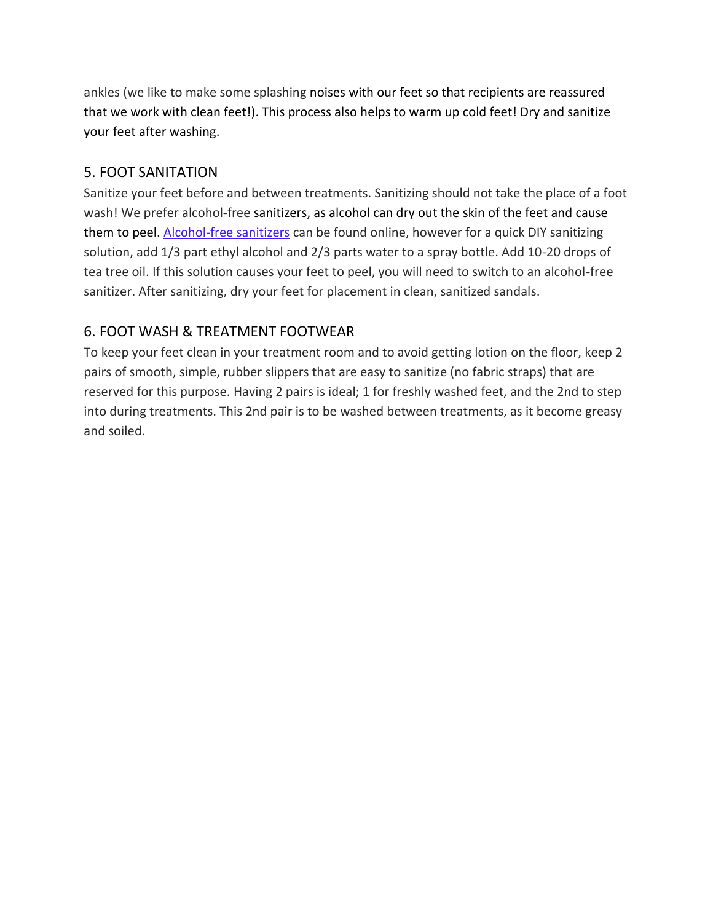ankles (we like to make some splashing noises with our feet so that recipients are reassured that we work with clean feet!). This process also helps to warm up cold feet! Dry and sanitize your feet after washing.

### 5. FOOT SANITATION

Sanitize your feet before and between treatments. Sanitizing should not take the place of a foot wash! We prefer alcohol-free sanitizers, as alcohol can dry out the skin of the feet and cause them to peel. [Alcohol-free sanitizers](https://www.amazon.com/CleanWell-Natural-Foaming-Hand-Sanitizer/dp/B002UVKMVY/ref=sr_1_14_a_it?ie=UTF8&qid=1519385852&sr=8-14&keywords=alcohol+free+hand+sanitizer) can be found online, however for a quick DIY sanitizing solution, add 1/3 part ethyl alcohol and 2/3 parts water to a spray bottle. Add 10-20 drops of tea tree oil. If this solution causes your feet to peel, you will need to switch to an alcohol-free sanitizer. After sanitizing, dry your feet for placement in clean, sanitized sandals.

### 6. FOOT WASH & TREATMENT FOOTWEAR

To keep your feet clean in your treatment room and to avoid getting lotion on the floor, keep 2 pairs of smooth, simple, rubber slippers that are easy to sanitize (no fabric straps) that are reserved for this purpose. Having 2 pairs is ideal; 1 for freshly washed feet, and the 2nd to step into during treatments. This 2nd pair is to be washed between treatments, as it become greasy and soiled.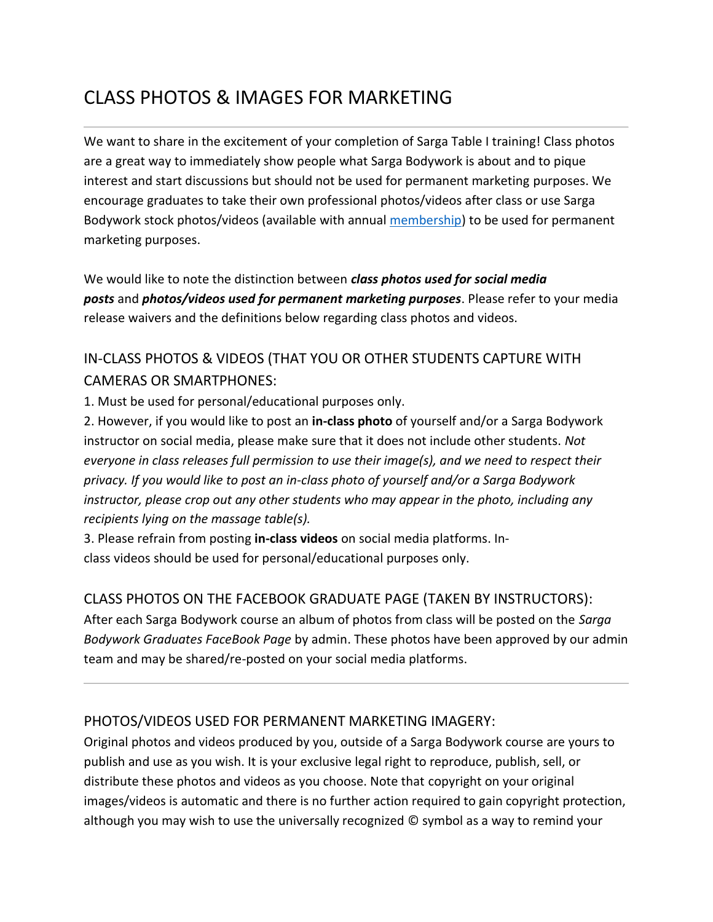# CLASS PHOTOS & IMAGES FOR MARKETING

We want to share in the excitement of your completion of Sarga Table I training! Class photos are a great way to immediately show people what Sarga Bodywork is about and to pique interest and start discussions but should not be used for permanent marketing purposes. We encourage graduates to take their own professional photos/videos after class or use Sarga Bodywork stock photos/videos (available with annual [membership\)](http://www.sargabodywork.com/store/p36/Sarga_Bodywork_Membership%3A_Individual.html) to be used for permanent marketing purposes.

We would like to note the distinction between *class photos used for social media posts* and *photos/videos used for permanent marketing purposes*. Please refer to your media release waivers and the definitions below regarding class photos and videos.

## IN-CLASS PHOTOS & VIDEOS (THAT YOU OR OTHER STUDENTS CAPTURE WITH CAMERAS OR SMARTPHONES:

1. Must be used for personal/educational purposes only.

2. However, if you would like to post an **in-class photo** of yourself and/or a Sarga Bodywork instructor on social media, please make sure that it does not include other students. *Not everyone in class releases full permission to use their image(s), and we need to respect their privacy. If you would like to post an in-class photo of yourself and/or a Sarga Bodywork instructor, please crop out any other students who may appear in the photo, including any recipients lying on the massage table(s).*

3. Please refrain from posting **in-class videos** on social media platforms. Inclass videos should be used for personal/educational purposes only.

### CLASS PHOTOS ON THE FACEBOOK GRADUATE PAGE (TAKEN BY INSTRUCTORS):

After each Sarga Bodywork course an album of photos from class will be posted on the *Sarga Bodywork Graduates FaceBook Page* by admin. These photos have been approved by our admin team and may be shared/re-posted on your social media platforms.

### PHOTOS/VIDEOS USED FOR PERMANENT MARKETING IMAGERY:

Original photos and videos produced by you, outside of a Sarga Bodywork course are yours to publish and use as you wish. It is your exclusive legal right to reproduce, publish, sell, or distribute these photos and videos as you choose. Note that copyright on your original images/videos is automatic and there is no further action required to gain copyright protection, although you may wish to use the universally recognized © symbol as a way to remind your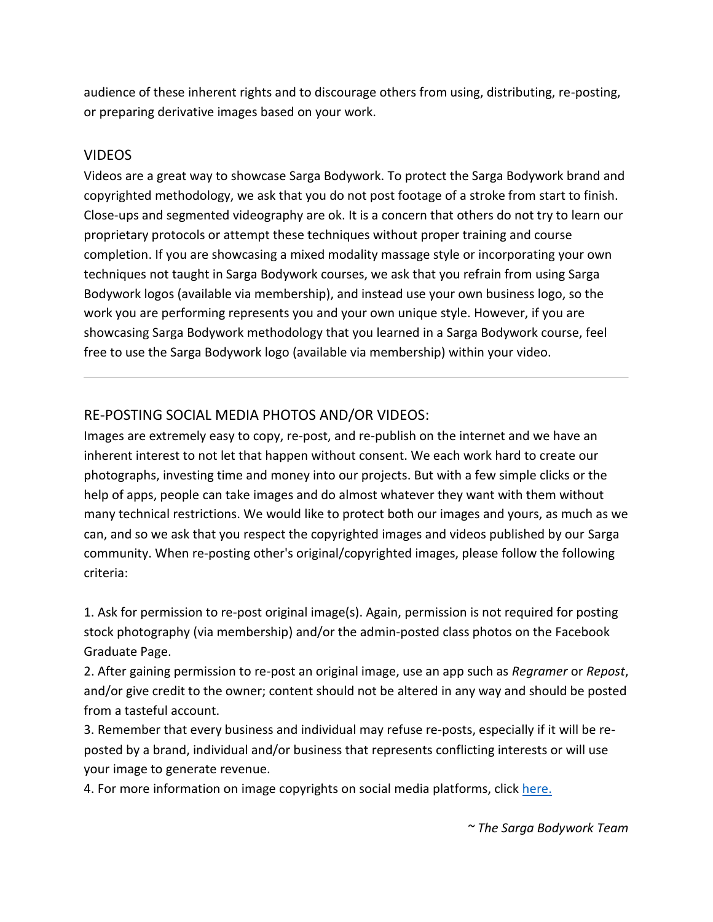audience of these inherent rights and to discourage others from using, distributing, re-posting, or preparing derivative images based on your work.

#### VIDEOS

Videos are a great way to showcase Sarga Bodywork. To protect the Sarga Bodywork brand and copyrighted methodology, we ask that you do not post footage of a stroke from start to finish. Close-ups and segmented videography are ok. It is a concern that others do not try to learn our proprietary protocols or attempt these techniques without proper training and course completion. If you are showcasing a mixed modality massage style or incorporating your own techniques not taught in Sarga Bodywork courses, we ask that you refrain from using Sarga Bodywork logos (available via membership), and instead use your own business logo, so the work you are performing represents you and your own unique style. However, if you are showcasing Sarga Bodywork methodology that you learned in a Sarga Bodywork course, feel free to use the Sarga Bodywork logo (available via membership) within your video.

### RE-POSTING SOCIAL MEDIA PHOTOS AND/OR VIDEOS:

Images are extremely easy to copy, re-post, and re-publish on the internet and we have an inherent interest to not let that happen without consent. We each work hard to create our photographs, investing time and money into our projects. But with a few simple clicks or the help of apps, people can take images and do almost whatever they want with them without many technical restrictions. We would like to protect both our images and yours, as much as we can, and so we ask that you respect the copyrighted images and videos published by our Sarga community. When re-posting other's original/copyrighted images, please follow the following criteria:

1. Ask for permission to re-post original image(s). Again, permission is not required for posting stock photography (via membership) and/or the admin-posted class photos on the Facebook Graduate Page.

2. After gaining permission to re-post an original image, use an app such as *Regramer* or *Repost*, and/or give credit to the owner; content should not be altered in any way and should be posted from a tasteful account.

3. Remember that every business and individual may refuse re-posts, especially if it will be reposted by a brand, individual and/or business that represents conflicting interests or will use your image to generate revenue.

4. For more information on image copyrights on social media platforms, click [here.](https://www.socialreport.com/insights/article/115003340743-Can-I-Use-This-Image-In-My-Social-Marketing--Understanding-Image-Copyrights-)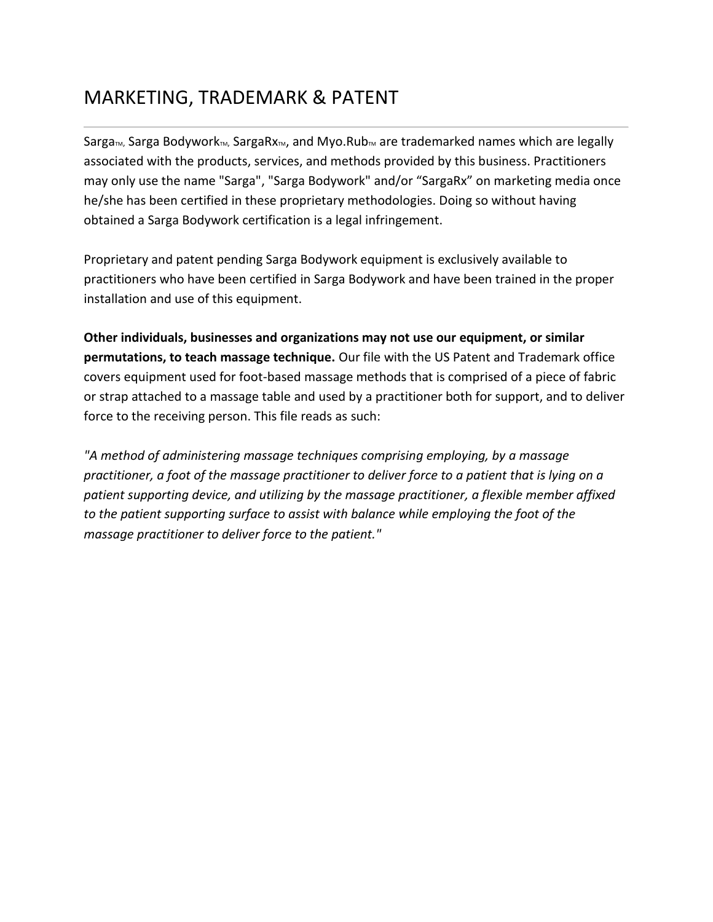## MARKETING, TRADEMARK & PATENT

Sarga<sub>m</sub>, Sarga Bodywork<sub>m</sub>, SargaRx<sub>M</sub>, and Myo.Rub<sub>m</sub> are trademarked names which are legally associated with the products, services, and methods provided by this business. Practitioners may only use the name "Sarga", "Sarga Bodywork" and/or "SargaRx" on marketing media once he/she has been certified in these proprietary methodologies. Doing so without having obtained a Sarga Bodywork certification is a legal infringement.

Proprietary and patent pending Sarga Bodywork equipment is exclusively available to practitioners who have been certified in Sarga Bodywork and have been trained in the proper installation and use of this equipment.

**Other individuals, businesses and organizations may not use our equipment, or similar permutations, to teach massage technique.** Our file with the US Patent and Trademark office covers equipment used for foot-based massage methods that is comprised of a piece of fabric or strap attached to a massage table and used by a practitioner both for support, and to deliver force to the receiving person. This file reads as such:

*"A method of administering massage techniques comprising employing, by a massage practitioner, a foot of the massage practitioner to deliver force to a patient that is lying on a patient supporting device, and utilizing by the massage practitioner, a flexible member affixed to the patient supporting surface to assist with balance while employing the foot of the massage practitioner to deliver force to the patient."*